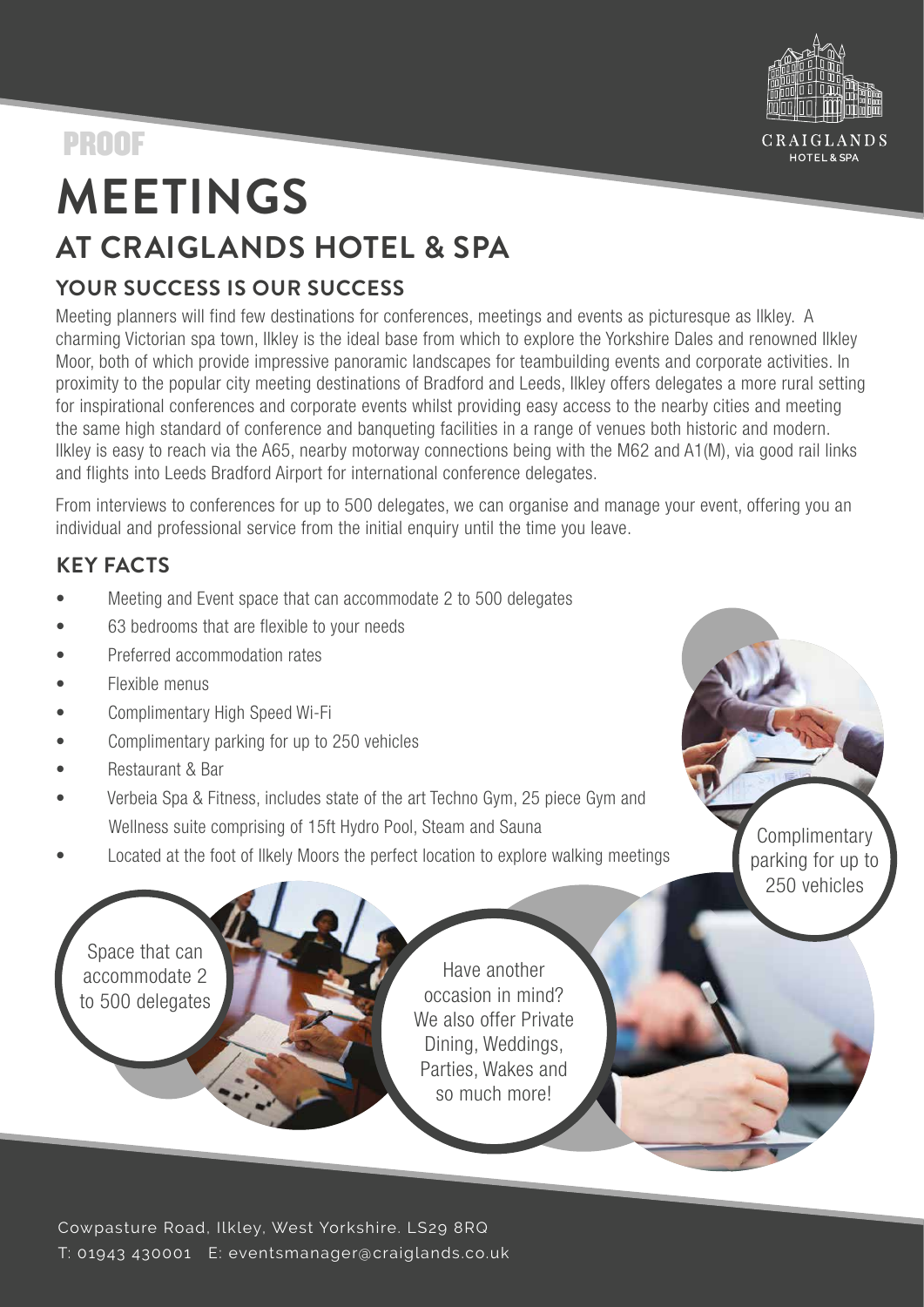

Complimentary parking for up to 250 vehicles

# PROOF

# **MEETINGS AT CRAIGLANDS HOTEL & SPA**

# **YOUR SUCCESS IS OUR SUCCESS**

Meeting planners will find few destinations for conferences, meetings and events as picturesque as Ilkley. A charming Victorian spa town, Ilkley is the ideal base from which to explore the Yorkshire Dales and renowned Ilkley Moor, both of which provide impressive panoramic landscapes for teambuilding events and corporate activities. In proximity to the popular city meeting destinations of Bradford and Leeds, Ilkley offers delegates a more rural setting for inspirational conferences and corporate events whilst providing easy access to the nearby cities and meeting the same high standard of conference and banqueting facilities in a range of venues both historic and modern. Ilkley is easy to reach via the A65, nearby motorway connections being with the M62 and A1(M), via good rail links and flights into Leeds Bradford Airport for international conference delegates.

From interviews to conferences for up to 500 delegates, we can organise and manage your event, offering you an individual and professional service from the initial enquiry until the time you leave.

# **KEY FACTS**

- Meeting and Event space that can accommodate 2 to 500 delegates
- 63 bedrooms that are flexible to your needs
- Preferred accommodation rates
- Flexible menus
- Complimentary High Speed Wi-Fi
- Complimentary parking for up to 250 vehicles
- Restaurant & Bar
- Verbeia Spa & Fitness, includes state of the art Techno Gym, 25 piece Gym and Wellness suite comprising of 15ft Hydro Pool, Steam and Sauna
- Located at the foot of Ilkely Moors the perfect location to explore walking meetings

Space that can accommodate 2 to 500 delegates

Have another occasion in mind? We also offer Private Dining, Weddings, Parties, Wakes and so much more!

Cowpasture Road, Ilkley, West Yorkshire. LS29 8RQ T: 01943 430001 E: eventsmanager@craiglands.co.uk